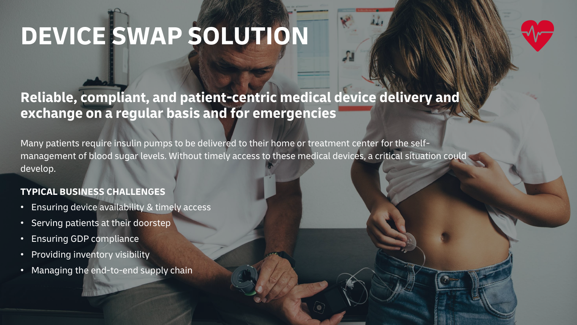# **DEVICE SWAP SOLUTION**

# **Reliable, compliant, and patient-centric medical device delivery and exchange on a regular basis and for emergencies**

Many patients require insulin pumps to be delivered to their home or treatment center for the selfmanagement of blood sugar levels. Without timely access to these medical devices, a critical situation could develop.

### **TYPICAL BUSINESS CHALLENGES**

- Ensuring device availability & timely access
- Serving patients at their doorstep
- Ensuring GDP compliance
- Providing inventory visibility
- Managing the end-to-end supply chain